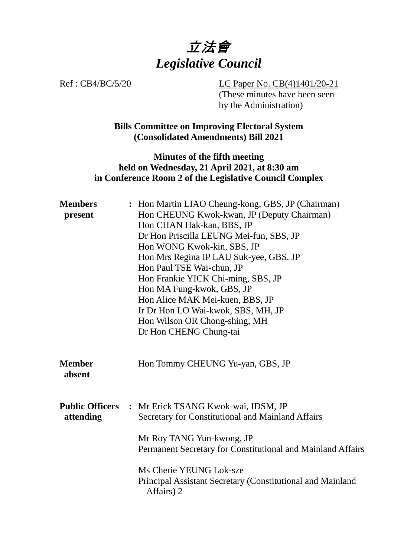

Ref : CB4/BC/5/20 LC Paper No. CB(4)1401/20-21 (These minutes have been seen by the Administration)

> **Bills Committee on Improving Electoral System (Consolidated Amendments) Bill 2021**

#### **Minutes of the fifth meeting held on Wednesday, 21 April 2021, at 8:30 am in Conference Room 2 of the Legislative Council Complex**

| <b>Members</b><br>present           | : Hon Martin LIAO Cheung-kong, GBS, JP (Chairman)<br>Hon CHEUNG Kwok-kwan, JP (Deputy Chairman)<br>Hon CHAN Hak-kan, BBS, JP<br>Dr Hon Priscilla LEUNG Mei-fun, SBS, JP<br>Hon WONG Kwok-kin, SBS, JP<br>Hon Mrs Regina IP LAU Suk-yee, GBS, JP<br>Hon Paul TSE Wai-chun, JP<br>Hon Frankie YICK Chi-ming, SBS, JP<br>Hon MA Fung-kwok, GBS, JP<br>Hon Alice MAK Mei-kuen, BBS, JP<br>Ir Dr Hon LO Wai-kwok, SBS, MH, JP<br>Hon Wilson OR Chong-shing, MH |
|-------------------------------------|-----------------------------------------------------------------------------------------------------------------------------------------------------------------------------------------------------------------------------------------------------------------------------------------------------------------------------------------------------------------------------------------------------------------------------------------------------------|
|                                     | Dr Hon CHENG Chung-tai                                                                                                                                                                                                                                                                                                                                                                                                                                    |
| <b>Member</b><br>absent             | Hon Tommy CHEUNG Yu-yan, GBS, JP                                                                                                                                                                                                                                                                                                                                                                                                                          |
| <b>Public Officers</b><br>attending | : Mr Erick TSANG Kwok-wai, IDSM, JP<br>Secretary for Constitutional and Mainland Affairs                                                                                                                                                                                                                                                                                                                                                                  |
|                                     | Mr Roy TANG Yun-kwong, JP<br>Permanent Secretary for Constitutional and Mainland Affairs                                                                                                                                                                                                                                                                                                                                                                  |
|                                     | Ms Cherie YEUNG Lok-sze<br>Principal Assistant Secretary (Constitutional and Mainland<br>Affairs) 2                                                                                                                                                                                                                                                                                                                                                       |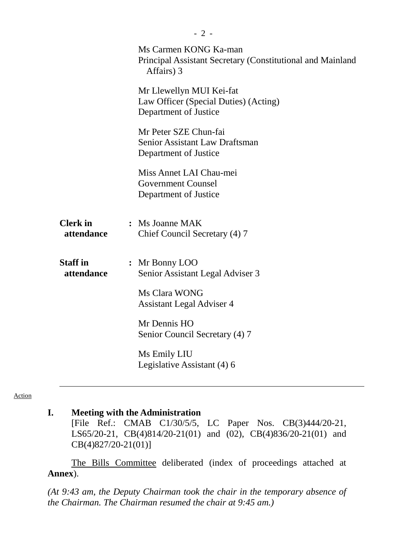|                               | Ms Carmen KONG Ka-man<br>Principal Assistant Secretary (Constitutional and Mainland<br>Affairs) 3 |
|-------------------------------|---------------------------------------------------------------------------------------------------|
|                               | Mr Llewellyn MUI Kei-fat<br>Law Officer (Special Duties) (Acting)<br>Department of Justice        |
|                               | Mr Peter SZE Chun-fai<br><b>Senior Assistant Law Draftsman</b><br>Department of Justice           |
|                               | Miss Annet LAI Chau-mei<br><b>Government Counsel</b><br>Department of Justice                     |
| <b>Clerk</b> in<br>attendance | : Ms Joanne MAK<br>Chief Council Secretary (4) 7                                                  |
| <b>Staff</b> in<br>attendance | : Mr Bonny LOO<br>Senior Assistant Legal Adviser 3                                                |
|                               | Ms Clara WONG<br><b>Assistant Legal Adviser 4</b>                                                 |
|                               | Mr Dennis HO<br>Senior Council Secretary (4) 7                                                    |
|                               | Ms Emily LIU<br>Legislative Assistant (4) 6                                                       |
|                               |                                                                                                   |

# **I. Meeting with the Administration**

[File Ref.: CMAB C1/30/5/5, LC Paper Nos. CB(3)444/20-21, LS65/20-21, CB(4)814/20-21(01) and (02), CB(4)836/20-21(01) and CB(4)827/20-21(01)]

The Bills Committee deliberated (index of proceedings attached at **Annex**).

*(At 9:43 am, the Deputy Chairman took the chair in the temporary absence of the Chairman. The Chairman resumed the chair at 9:45 am.)*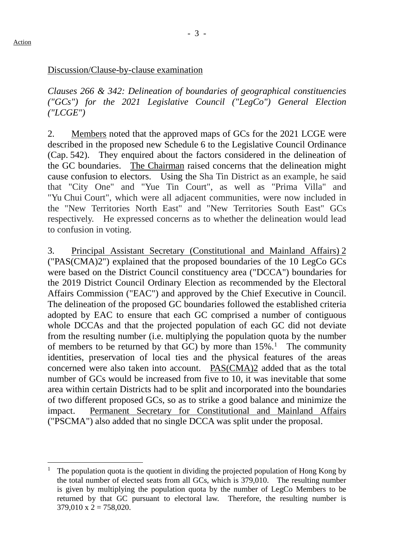#### Discussion/Clause-by-clause examination

*Clauses 266 & 342: Delineation of boundaries of geographical constituencies ("GCs") for the 2021 Legislative Council ("LegCo") General Election ("LCGE")*

2. Members noted that the approved maps of GCs for the 2021 LCGE were described in the proposed new Schedule 6 to the Legislative Council Ordinance (Cap. 542). They enquired about the factors considered in the delineation of the GC boundaries. The Chairman raised concerns that the delineation might cause confusion to electors. Using the Sha Tin District as an example, he said that "City One" and "Yue Tin Court", as well as "Prima Villa" and "Yu Chui Court", which were all adjacent communities, were now included in the "New Territories North East" and "New Territories South East" GCs respectively. He expressed concerns as to whether the delineation would lead to confusion in voting.

3. Principal Assistant Secretary (Constitutional and Mainland Affairs) 2 ("PAS(CMA)2") explained that the proposed boundaries of the 10 LegCo GCs were based on the District Council constituency area ("DCCA") boundaries for the 2019 District Council Ordinary Election as recommended by the Electoral Affairs Commission ("EAC") and approved by the Chief Executive in Council. The delineation of the proposed GC boundaries followed the established criteria adopted by EAC to ensure that each GC comprised a number of contiguous whole DCCAs and that the projected population of each GC did not deviate from the resulting number (i.e. multiplying the population quota by the number of members to be returned by that GC) by more than  $15\%$ .<sup>1</sup> The community identities, preservation of local ties and the physical features of the areas concerned were also taken into account. PAS(CMA)2 added that as the total number of GCs would be increased from five to 10, it was inevitable that some area within certain Districts had to be split and incorporated into the boundaries of two different proposed GCs, so as to strike a good balance and minimize the impact. Permanent Secretary for Constitutional and Mainland Affairs ("PSCMA") also added that no single DCCA was split under the proposal.

<span id="page-2-0"></span> <sup>1</sup> The population quota is the quotient in dividing the projected population of Hong Kong by the total number of elected seats from all GCs, which is 379,010. The resulting number is given by multiplying the population quota by the number of LegCo Members to be returned by that GC pursuant to electoral law. Therefore, the resulting number is  $379,010 \text{ x } 2 = 758,020.$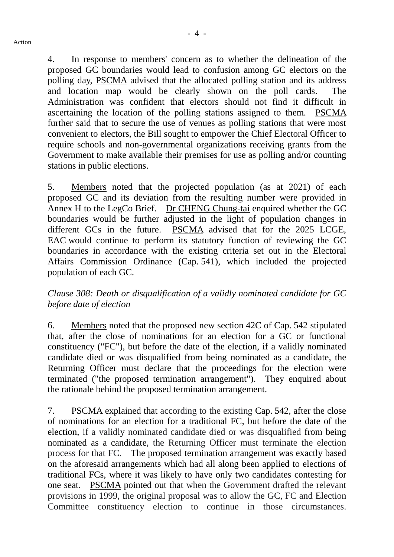4. In response to members' concern as to whether the delineation of the proposed GC boundaries would lead to confusion among GC electors on the polling day, PSCMA advised that the allocated polling station and its address and location map would be clearly shown on the poll cards. The Administration was confident that electors should not find it difficult in ascertaining the location of the polling stations assigned to them. PSCMA further said that to secure the use of venues as polling stations that were most convenient to electors, the Bill sought to empower the Chief Electoral Officer to require schools and non-governmental organizations receiving grants from the Government to make available their premises for use as polling and/or counting stations in public elections.

5. Members noted that the projected population (as at 2021) of each proposed GC and its deviation from the resulting number were provided in Annex H to the LegCo Brief. Dr CHENG Chung-tai enquired whether the GC boundaries would be further adjusted in the light of population changes in different GCs in the future. PSCMA advised that for the 2025 LCGE, EAC would continue to perform its statutory function of reviewing the GC boundaries in accordance with the existing criteria set out in the Electoral Affairs Commission Ordinance (Cap. 541), which included the projected population of each GC.

*Clause 308: Death or disqualification of a validly nominated candidate for GC before date of election*

6. Members noted that the proposed new section 42C of Cap. 542 stipulated that, after the close of nominations for an election for a GC or functional constituency ("FC"), but before the date of the election, if a validly nominated candidate died or was disqualified from being nominated as a candidate, the Returning Officer must declare that the proceedings for the election were terminated ("the proposed termination arrangement"). They enquired about the rationale behind the proposed termination arrangement.

7. PSCMA explained that according to the existing Cap. 542, after the close of nominations for an election for a traditional FC, but before the date of the election, if a validly nominated candidate died or was disqualified from being nominated as a candidate, the Returning Officer must terminate the election process for that FC. The proposed termination arrangement was exactly based on the aforesaid arrangements which had all along been applied to elections of traditional FCs, where it was likely to have only two candidates contesting for one seat. PSCMA pointed out that when the Government drafted the relevant provisions in 1999, the original proposal was to allow the GC, FC and Election Committee constituency election to continue in those circumstances.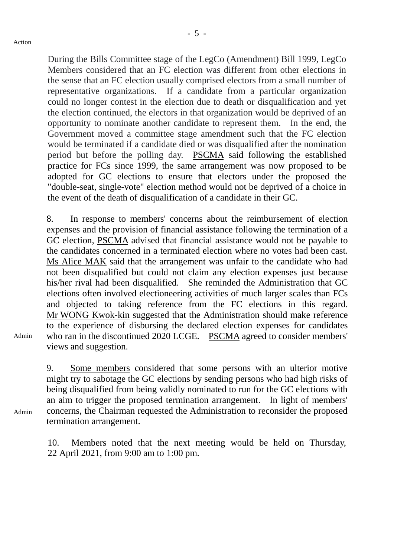During the Bills Committee stage of the LegCo (Amendment) Bill 1999, LegCo Members considered that an FC election was different from other elections in the sense that an FC election usually comprised electors from a small number of representative organizations. If a candidate from a particular organization could no longer contest in the election due to death or disqualification and yet the election continued, the electors in that organization would be deprived of an opportunity to nominate another candidate to represent them. In the end, the Government moved a committee stage amendment such that the FC election would be terminated if a candidate died or was disqualified after the nomination period but before the polling day. PSCMA said following the established practice for FCs since 1999, the same arrangement was now proposed to be adopted for GC elections to ensure that electors under the proposed the "double-seat, single-vote" election method would not be deprived of a choice in the event of the death of disqualification of a candidate in their GC.

8. In response to members' concerns about the reimbursement of election expenses and the provision of financial assistance following the termination of a GC election, PSCMA advised that financial assistance would not be payable to the candidates concerned in a terminated election where no votes had been cast. Ms Alice MAK said that the arrangement was unfair to the candidate who had not been disqualified but could not claim any election expenses just because his/her rival had been disqualified. She reminded the Administration that GC elections often involved electioneering activities of much larger scales than FCs and objected to taking reference from the FC elections in this regard. Mr WONG Kwok-kin suggested that the Administration should make reference to the experience of disbursing the declared election expenses for candidates who ran in the discontinued 2020 LCGE. PSCMA agreed to consider members' views and suggestion.

Admin

Admin

9. Some members considered that some persons with an ulterior motive might try to sabotage the GC elections by sending persons who had high risks of being disqualified from being validly nominated to run for the GC elections with an aim to trigger the proposed termination arrangement. In light of members' concerns, the Chairman requested the Administration to reconsider the proposed termination arrangement.

10. Members noted that the next meeting would be held on Thursday, 22 April 2021, from 9:00 am to 1:00 pm.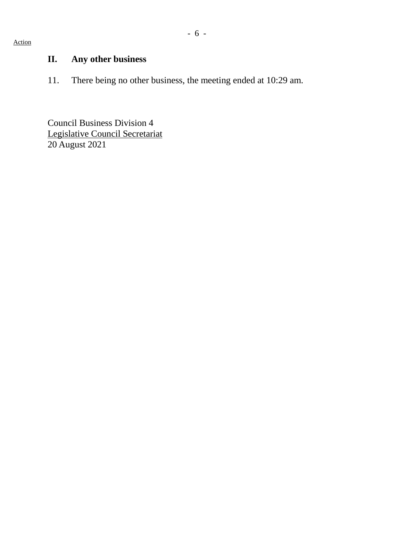## - 6 -

# **II. Any other business**

11. There being no other business, the meeting ended at 10:29 am.

Council Business Division 4 Legislative Council Secretariat 20 August 2021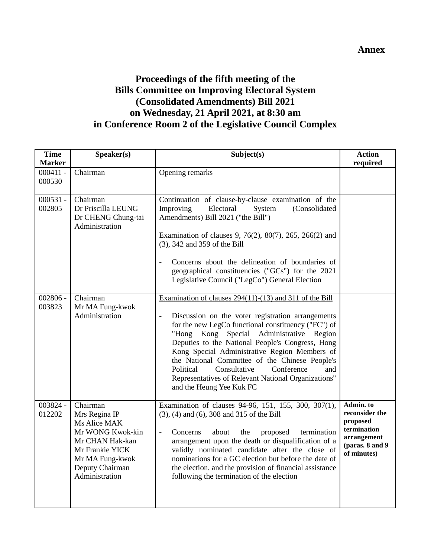#### **Annex**

### **Proceedings of the fifth meeting of the Bills Committee on Improving Electoral System (Consolidated Amendments) Bill 2021 on Wednesday, 21 April 2021, at 8:30 am in Conference Room 2 of the Legislative Council Complex**

| <b>Time</b><br><b>Marker</b> | Speaker(s)                                                                                                                                                  | Subject(s)                                                                                                                                                                                                                                                                                                                                                                                                                                                                                                        | <b>Action</b><br>required                                                                                |
|------------------------------|-------------------------------------------------------------------------------------------------------------------------------------------------------------|-------------------------------------------------------------------------------------------------------------------------------------------------------------------------------------------------------------------------------------------------------------------------------------------------------------------------------------------------------------------------------------------------------------------------------------------------------------------------------------------------------------------|----------------------------------------------------------------------------------------------------------|
| $000411 -$<br>000530         | Chairman                                                                                                                                                    | Opening remarks                                                                                                                                                                                                                                                                                                                                                                                                                                                                                                   |                                                                                                          |
| $000531 -$<br>002805         | Chairman<br>Dr Priscilla LEUNG<br>Dr CHENG Chung-tai<br>Administration                                                                                      | Continuation of clause-by-clause examination of the<br>Improving<br>Electoral<br>System<br>(Consolidated<br>Amendments) Bill 2021 ("the Bill")<br>Examination of clauses 9, 76(2), 80(7), 265, 266(2) and<br>(3), 342 and 359 of the Bill<br>Concerns about the delineation of boundaries of<br>geographical constituencies ("GCs") for the 2021<br>Legislative Council ("LegCo") General Election                                                                                                                |                                                                                                          |
| $002806 -$<br>003823         | Chairman<br>Mr MA Fung-kwok<br>Administration                                                                                                               | Examination of clauses 294(11)-(13) and 311 of the Bill<br>Discussion on the voter registration arrangements<br>for the new LegCo functional constituency ("FC") of<br>"Hong Kong Special<br>Administrative<br>Region<br>Deputies to the National People's Congress, Hong<br>Kong Special Administrative Region Members of<br>the National Committee of the Chinese People's<br>Conference<br>Political<br>Consultative<br>and<br>Representatives of Relevant National Organizations"<br>and the Heung Yee Kuk FC |                                                                                                          |
| 003824 -<br>012202           | Chairman<br>Mrs Regina IP<br>Ms Alice MAK<br>Mr WONG Kwok-kin<br>Mr CHAN Hak-kan<br>Mr Frankie YICK<br>Mr MA Fung-kwok<br>Deputy Chairman<br>Administration | Examination of clauses 94-96, 151, 155, 300, 307(1),<br>$(3)$ , $(4)$ and $(6)$ , $308$ and $315$ of the Bill<br>Concerns<br>about<br>the<br>proposed<br>termination<br>$\overline{\phantom{0}}$<br>arrangement upon the death or disqualification of a<br>validly nominated candidate after the close of<br>nominations for a GC election but before the date of<br>the election, and the provision of financial assistance<br>following the termination of the election                                         | Admin. to<br>reconsider the<br>proposed<br>termination<br>arrangement<br>(paras. 8 and 9)<br>of minutes) |